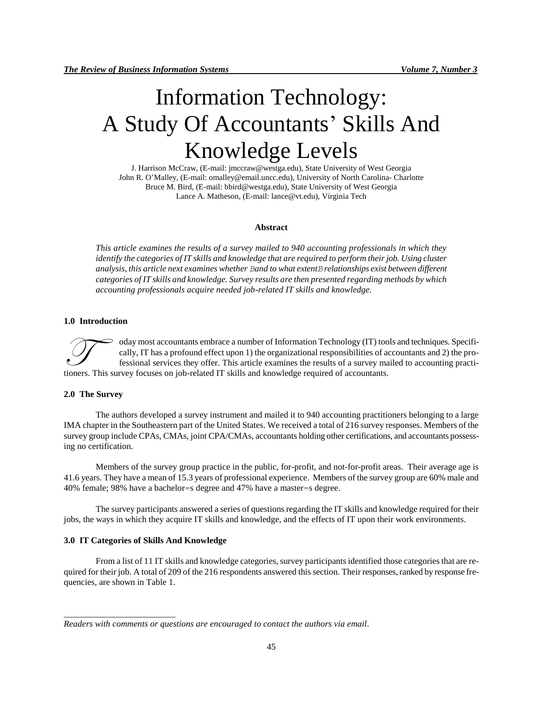# Information Technology: A Study Of Accountants' Skills And Knowledge Levels

J. Harrison McCraw, (E-mail: [jmccraw@westga.edu\)](mailto:jmccraw@westga.edu), State University of West Georgia John R. O'Malley, (E-mail[: omalley@email.uncc.edu\)](mailto:omalley@email.uncc.edu), University of North Carolina- Charlotte Bruce M. Bird, (E-mail: [bbird@westga.edu\)](mailto:bbird@westga.edu), State University of West Georgia Lance A. Matheson, (E-mail: [lance@vt.edu\)](mailto:lance@vt.edu), Virginia Tech

#### **Abstract**

*This article examines the results of a survey mailed to 940 accounting professionals in which they identify the categories of IT skills and knowledge that are required to perform their job. Using cluster analysis, this article next examines whether Band to what extentB relationships exist between different categories of IT skills and knowledge. Survey results are then presented regarding methods by which accounting professionals acquire needed job-related IT skills and knowledge.* 

# **1.0 Introduction**

oday most accountants embrace a number of Information Technology (IT) tools and techniques. Specifically, IT has a profound effect upon 1) the organizational responsibilities of accountants and 2) the professional services they offer. This article examines the results of a survey mailed to accounting practioday most accountants embrace a number of Information Technology (IT) too cally, IT has a profound effect upon 1) the organizational responsibilities of a fessional services they offer. This article examines the results of

### **2.0 The Survey**

The authors developed a survey instrument and mailed it to 940 accounting practitioners belonging to a large IMA chapter in the Southeastern part of the United States. We received a total of 216 survey responses. Members of the survey group include CPAs, CMAs, joint CPA/CMAs, accountants holding other certifications, and accountants possessing no certification.

Members of the survey group practice in the public, for-profit, and not-for-profit areas. Their average age is 41.6 years. They have a mean of 15.3 years of professional experience. Members of the survey group are 60% male and 40% female; 98% have a bachelor=s degree and 47% have a master=s degree.

The survey participants answered a series of questions regarding the IT skills and knowledge required for their jobs, the ways in which they acquire IT skills and knowledge, and the effects of IT upon their work environments.

#### **3.0 IT Categories of Skills And Knowledge**

\_\_\_\_\_\_\_\_\_\_\_\_\_\_\_\_\_\_\_\_\_\_\_\_\_

From a list of 11 IT skills and knowledge categories, survey participants identified those categories that are required for their job. A total of 209 of the 216 respondents answered this section. Their responses, ranked by response frequencies, are shown in Table 1.

*Readers with comments or questions are encouraged to contact the authors via email.*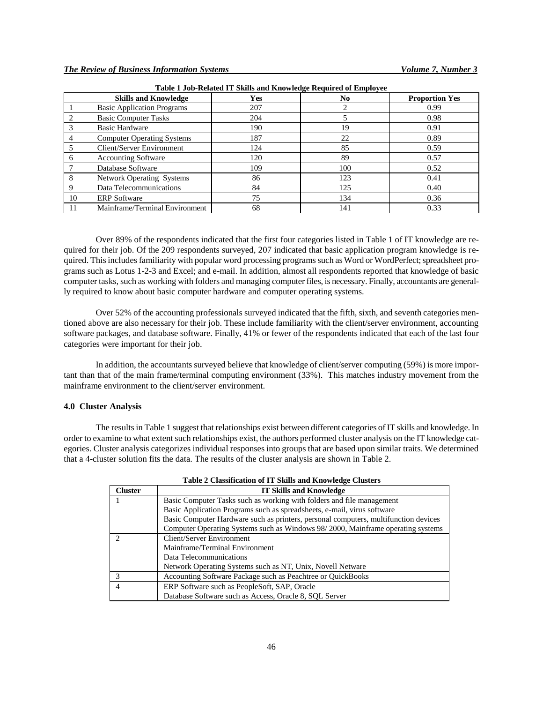|    | <b>Skills and Knowledge</b>       | Yes | N <sub>0</sub> | <b>Proportion Yes</b> |
|----|-----------------------------------|-----|----------------|-----------------------|
|    | <b>Basic Application Programs</b> | 207 |                | 0.99                  |
|    | <b>Basic Computer Tasks</b>       | 204 |                | 0.98                  |
|    | <b>Basic Hardware</b>             | 190 | 19             | 0.91                  |
|    | <b>Computer Operating Systems</b> | 187 | 22             | 0.89                  |
|    | Client/Server Environment         | 124 | 85             | 0.59                  |
| 6  | <b>Accounting Software</b>        | 120 | 89             | 0.57                  |
|    | Database Software                 | 109 | 100            | 0.52                  |
| 8  | <b>Network Operating Systems</b>  | 86  | 123            | 0.41                  |
| 9  | Data Telecommunications           | 84  | 125            | 0.40                  |
| 10 | <b>ERP</b> Software               | 75  | 134            | 0.36                  |
|    | Mainframe/Terminal Environment    | 68  | 141            | 0.33                  |

**Table 1 Job-Related IT Skills and Knowledge Required of Employee**

Over 89% of the respondents indicated that the first four categories listed in Table 1 of IT knowledge are required for their job. Of the 209 respondents surveyed, 207 indicated that basic application program knowledge is required. This includes familiarity with popular word processing programs such as Word or WordPerfect; spreadsheet programs such as Lotus 1-2-3 and Excel; and e-mail. In addition, almost all respondents reported that knowledge of basic computer tasks, such as working with folders and managing computer files, is necessary. Finally, accountants are generally required to know about basic computer hardware and computer operating systems.

Over 52% of the accounting professionals surveyed indicated that the fifth, sixth, and seventh categories mentioned above are also necessary for their job. These include familiarity with the client/server environment, accounting software packages, and database software. Finally, 41% or fewer of the respondents indicated that each of the last four categories were important for their job.

In addition, the accountants surveyed believe that knowledge of client/server computing (59%) is more important than that of the main frame/terminal computing environment (33%). This matches industry movement from the mainframe environment to the client/server environment.

#### **4.0 Cluster Analysis**

The results in Table 1 suggest that relationships exist between different categories of IT skills and knowledge. In order to examine to what extent such relationships exist, the authors performed cluster analysis on the IT knowledge categories. Cluster analysis categorizes individual responses into groups that are based upon similar traits. We determined that a 4-cluster solution fits the data. The results of the cluster analysis are shown in Table 2.

| <b>Cluster</b> | <b>IT Skills and Knowledge</b>                                                      |  |  |  |
|----------------|-------------------------------------------------------------------------------------|--|--|--|
|                | Basic Computer Tasks such as working with folders and file management               |  |  |  |
|                | Basic Application Programs such as spreadsheets, e-mail, virus software             |  |  |  |
|                | Basic Computer Hardware such as printers, personal computers, multifunction devices |  |  |  |
|                | Computer Operating Systems such as Windows 98/2000, Mainframe operating systems     |  |  |  |
|                | Client/Server Environment                                                           |  |  |  |
|                | Mainframe/Terminal Environment                                                      |  |  |  |
|                | Data Telecommunications                                                             |  |  |  |
|                | Network Operating Systems such as NT, Unix, Novell Netware                          |  |  |  |
| 3              | Accounting Software Package such as Peachtree or QuickBooks                         |  |  |  |
| $\overline{4}$ | ERP Software such as PeopleSoft, SAP, Oracle                                        |  |  |  |
|                | Database Software such as Access, Oracle 8, SOL Server                              |  |  |  |

| Table 2 Classification of IT Skills and Knowledge Clusters |  |  |
|------------------------------------------------------------|--|--|
|                                                            |  |  |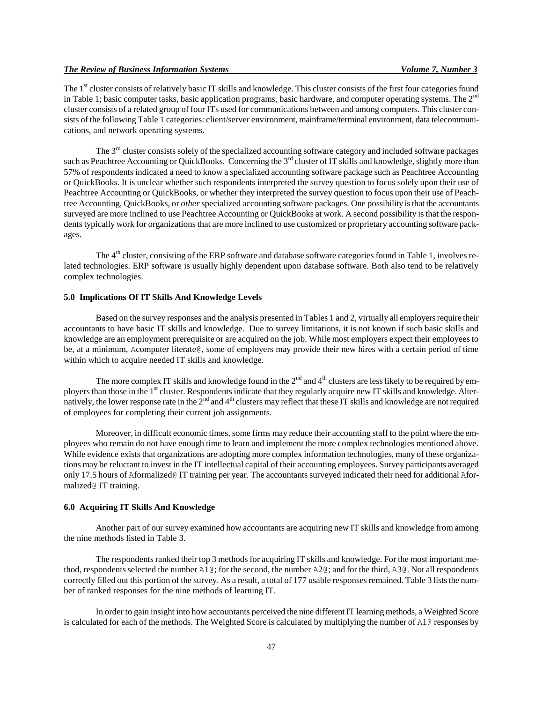The 1<sup>st</sup> cluster consists of relatively basic IT skills and knowledge. This cluster consists of the first four categories found in Table 1; basic computer tasks, basic application programs, basic hardware, and computer operating systems. The  $2<sup>nd</sup>$ cluster consists of a related group of four ITs used for communications between and among computers. This cluster consists of the following Table 1 categories: client/server environment, mainframe/terminal environment, data telecommunications, and network operating systems.

The 3<sup>rd</sup> cluster consists solely of the specialized accounting software category and included software packages such as Peachtree Accounting or QuickBooks. Concerning the 3<sup>rd</sup> cluster of IT skills and knowledge, slightly more than 57% of respondents indicated a need to know a specialized accounting software package such as Peachtree Accounting or QuickBooks. It is unclear whether such respondents interpreted the survey question to focus solely upon their use of Peachtree Accounting or QuickBooks, or whether they interpreted the survey question to focus upon their use of Peachtree Accounting, QuickBooks, or *other* specialized accounting software packages. One possibility is that the accountants surveyed are more inclined to use Peachtree Accounting or QuickBooks at work. A second possibility is that the respondents typically work for organizations that are more inclined to use customized or proprietary accounting software packages.

The 4<sup>th</sup> cluster, consisting of the ERP software and database software categories found in Table 1, involves related technologies. ERP software is usually highly dependent upon database software. Both also tend to be relatively complex technologies.

# **5.0 Implications Of IT Skills And Knowledge Levels**

Based on the survey responses and the analysis presented in Tables 1 and 2, virtually all employers require their accountants to have basic IT skills and knowledge. Due to survey limitations, it is not known if such basic skills and knowledge are an employment prerequisite or are acquired on the job. While most employers expect their employees to be, at a minimum, Acomputer literate@, some of employers may provide their new hires with a certain period of time within which to acquire needed IT skills and knowledge.

The more complex IT skills and knowledge found in the  $2<sup>nd</sup>$  and  $4<sup>th</sup>$  clusters are less likely to be required by employers than those in the 1st cluster. Respondents indicate that they regularly acquire new IT skills and knowledge. Alternatively, the lower response rate in the  $2<sup>nd</sup>$  and  $4<sup>th</sup>$  clusters may reflect that these IT skills and knowledge are not required of employees for completing their current job assignments.

Moreover, in difficult economic times, some firms may reduce their accounting staff to the point where the employees who remain do not have enough time to learn and implement the more complex technologies mentioned above. While evidence exists that organizations are adopting more complex information technologies, many of these organizations may be reluctant to invest in the IT intellectual capital of their accounting employees. Survey participants averaged only 17.5 hours of Aformalized@ IT training per year. The accountants surveyed indicated their need for additional Aformalized@ IT training.

### **6.0 Acquiring IT Skills And Knowledge**

Another part of our survey examined how accountants are acquiring new IT skills and knowledge from among the nine methods listed in Table 3.

The respondents ranked their top 3 methods for acquiring IT skills and knowledge. For the most important method, respondents selected the number  $A1@$ ; for the second, the number  $A2@$ ; and for the third,  $A3@$ . Not all respondents correctly filled out this portion of the survey. As a result, a total of 177 usable responses remained. Table 3 lists the number of ranked responses for the nine methods of learning IT.

In order to gain insight into how accountants perceived the nine different IT learning methods, a Weighted Score is calculated for each of the methods. The Weighted Score is calculated by multiplying the number of A1@ responses by